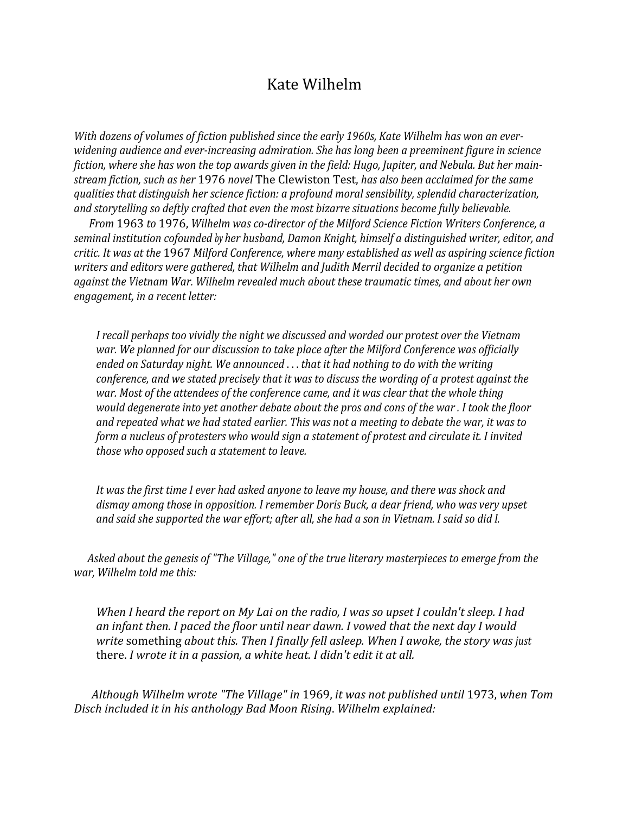## Kate
Wilhelm

With dozens of volumes of fiction published since the early 1960s, Kate Wilhelm has won an everwidening audience and ever-increasing admiration. She has long been a preeminent figure in science fiction, where she has won the top awards given in the field: Hugo, Jupiter, and Nebula. But her main*stream
fiction,
such
as
her* 1976 *novel* The
Clewiston
Test, *has
also
been
acclaimed
for
the
same qualities
that
distinguish
her
science
fiction:
a
profound
moral
sensibility,
splendid
characterization,* and storytelling so deftly crafted that even the most bizarre situations become fully believable.

From 1963 to 1976, Wilhelm was co-director of the Milford Science Fiction Writers Conference, a *seminal
institution
cofounded
by
her
husband,
Damon
Knight,
himself
a
distinguished
writer,
editor,
and critic.
It
was
at
the* 1967 *Milford
Conference,
where
many
established
as
well
as
aspiring
science
fiction*  writers and editors were gathered, that Wilhelm and Judith Merril decided to organize a petition against the Vietnam War. Wilhelm revealed much about these traumatic times, and about her own *engagement,
in
a
recent
letter:* 

I recall perhaps too vividly the night we discussed and worded our protest over the Vietnam war. We planned for our discussion to take place after the Milford Conference was officially *ended
on
Saturday
night.
We
announced* .
.
. *that
it
had
nothing
to
do
with
the
writing conference,
and
we
stated
precisely
that
it
was
to
discuss
the
wording
of
a
protest
against
the*  war. Most of the attendees of the conference came, and it was clear that the whole thing would degenerate into yet another debate about the pros and cons of the war. I took the floor and repeated what we had stated earlier. This was not a meeting to debate the war, it was to form a nucleus of protesters who would sign a statement of protest and circulate it. I invited *those
who
opposed
such
a
statement
to
leave.* 

It was the first time I ever had asked anyone to leave my house, and there was shock and dismay among those in opposition. I remember Doris Buck, a dear friend, who was very upset and said she supported the war effort; after all, she had a son in Vietnam. I said so did I.

Asked about the genesis of "The Village," one of the true literary masterpieces to emerge from the *war,
Wilhelm
told
me
this:* 

When I heard the report on My Lai on the radio, I was so upset I couldn't sleep. I had an infant then. I paced the floor until near dawn. I vowed that the next day I would write something about this. Then I finally fell asleep. When I awoke, the story was just there. *I wrote it in a passion, a white heat. I didn't edit it at all.* 

*Although
Wilhelm
wrote
"The
Village"
in* 1969, *it
was
not
published
until* 1973, *when
Tom Disch
included
it
in
his
anthology
Bad
Moon
Rising*. *Wilhelm
explained:*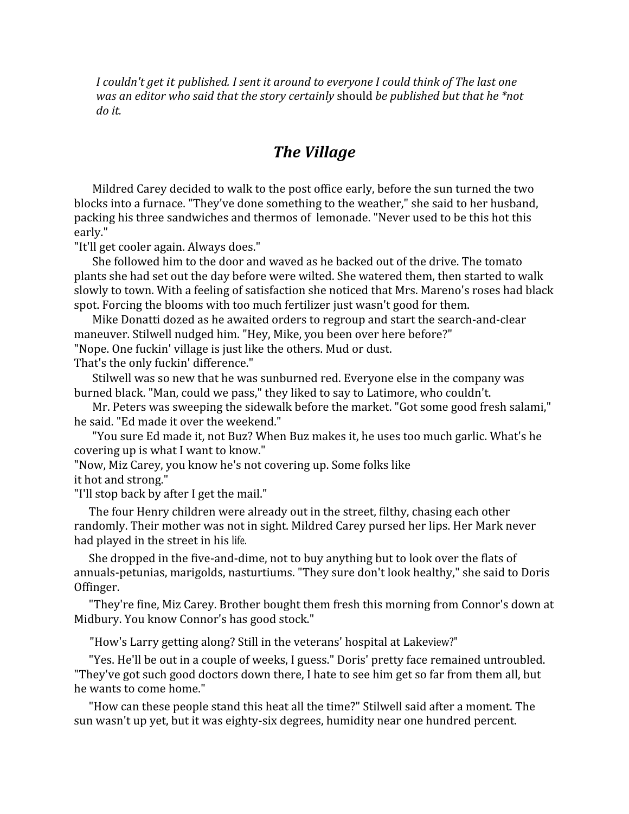I couldn't get it published. I sent it around to everyone I could think of The last one was an editor who said that the story certainly should be published but that he \*not *do
it.* 

## *The
Village*

Mildred Carey decided to walk to the post office early, before the sun turned the two blocks into a furnace. "They've done something to the weather," she said to her husband, packing
his
three
sandwiches
and
thermos
of

lemonade.
"Never
used
to
be
this
hot
this early."

"It'll
get
cooler
again.
Always
does."

She followed him to the door and waved as he backed out of the drive. The tomato plants
she
had
set
out
the
day
before
were
wilted.
She
watered
them,
then
started
to
walk slowly to town. With a feeling of satisfaction she noticed that Mrs. Mareno's roses had black spot. Forcing the blooms with too much fertilizer just wasn't good for them.

Mike Donatti dozed as he awaited orders to regroup and start the search-and-clear maneuver.
Stilwell
nudged
him.
"Hey,
Mike,
you
been
over
here
before?"

"Nope. One fuckin' village is just like the others. Mud or dust.

That's
the
only
fuckin'
difference."

Stilwell was so new that he was sunburned red. Everyone else in the company was burned
black.
"Man,
could
we
pass,"
they
liked
to
say
to
Latimore,
who
couldn't.

Mr. Peters was sweeping the sidewalk before the market. "Got some good fresh salami," he
said.
"Ed
made
it
over
the
weekend."

"You sure Ed made it, not Buz? When Buz makes it, he uses too much garlic. What's he covering
up
is
what
I
want
to
know."

"Now, Miz Carey, you know he's not covering up. Some folks like

it
hot
and
strong."

"I'll
stop
back
by
after
I
get
the
mail."

The
four
Henry
children
were
already
out
in
the
street,
filthy,
chasing
each
other randomly.
Their
mother
was
not
in
sight.
Mildred
Carey
pursed
her
lips.
Her
Mark
never had
played
in
the
street
in
his
life.

She dropped in the five-and-dime, not to buy anything but to look over the flats of annuals‐petunias,
marigolds,
nasturtiums.
"They
sure
don't
look
healthy,"
she
said
to
Doris Offinger.

"They're fine, Miz Carey. Brother bought them fresh this morning from Connor's down at Midbury. You know Connor's has good stock."

"How's Larry getting along? Still in the veterans' hospital at Lakeview?"

"Yes. He'll be out in a couple of weeks, I guess." Doris' pretty face remained untroubled. "They've got such good doctors down there, I hate to see him get so far from them all, but he
wants
to
come
home."

"How can these people stand this heat all the time?" Stilwell said after a moment. The sun
wasn't
up
yet,
but
it
was
eighty‐six
degrees,
humidity
near
one
hundred
percent.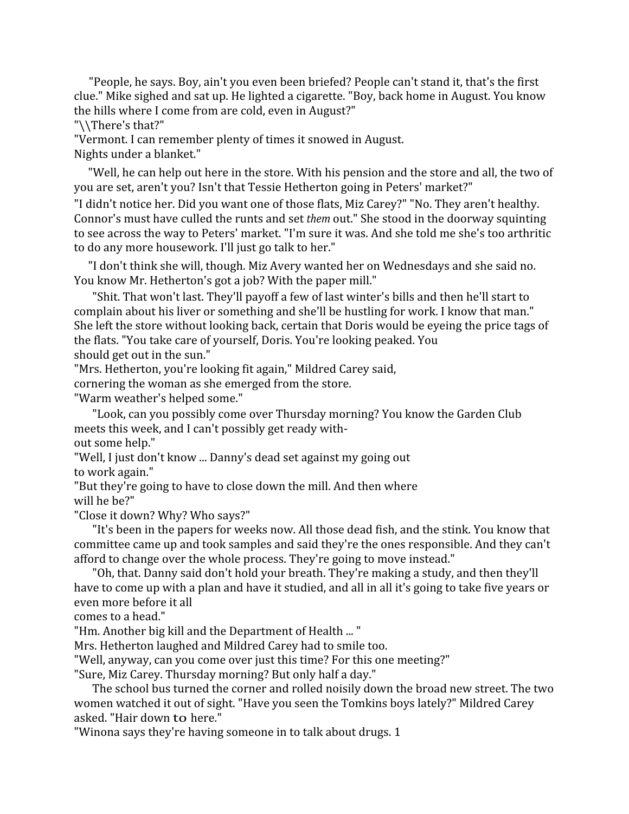"People, he says. Boy, ain't you even been briefed? People can't stand it, that's the first clue."
Mike
sighed
and
sat
up.
He
lighted
a
cigarette.
"Boy,
back
home
in
August.
You
know the
hills
where
I
come
from
are
cold,
even
in
August?"

"\\There's
that?"

"Vermont.
I
can
remember
plenty
of
times
it
snowed
in
August.

Nights
under
a
blanket."

"Well, he can help out here in the store. With his pension and the store and all, the two of you
are
set,
aren't
you?
Isn't
that
Tessie
Hetherton
going
in
Peters'
market?"

"I didn't notice her. Did you want one of those flats, Miz Carey?" "No. They aren't healthy. Connor's must have culled the runts and set *them* out." She stood in the doorway squinting to see across the way to Peters' market. "I'm sure it was. And she told me she's too arthritic to do any more housework. I'll just go talk to her."

"I
don't
think
she
will,
though.
Miz
Avery
wanted
her
on
Wednesdays
and
she
said
no. You know Mr. Hetherton's got a job? With the paper mill."

"Shit. That won't last. They'll payoff a few of last winter's bills and then he'll start to complain
about
his
liver
or
something
and
she'll
be
hustling
for
work.
I
know
that
man." She
left
the
store
without
looking
back,
certain
that
Doris
would
be
eyeing
the
price
tags
of the
flats.
"You
take
care
of
yourself,
Doris.
You're
looking
peaked.
You should get out in the sun."

"Mrs. Hetherton, you're looking fit again," Mildred Carey said,

cornering
the
woman
as
she
emerged
from
the
store.

"Warm
weather's
helped
some."

"Look, can you possibly come over Thursday morning? You know the Garden Club meets
this
week,
and
I
can't
possibly
get
ready
with‐

out
some
help."

"Well, I just don't know ... Danny's dead set against my going out to
work
again."

"But they're going to have to close down the mill. And then where will
he
be?"

"Close it down? Why? Who says?"

"It's been in the papers for weeks now. All those dead fish, and the stink. You know that committee
came
up
and
took
samples
and
said
they're
the
ones
responsible.
And
they
can't afford
to
change
over
the
whole
process.
They're
going
to
move
instead."

"Oh, that. Danny said don't hold your breath. They're making a study, and then they'll have to come up with a plan and have it studied, and all in all it's going to take five years or even
more
before
it
all

comes
to
a
head."

"Hm. Another big kill and the Department of Health ... "

Mrs.
Hetherton
laughed
and
Mildred
Carey
had
to
smile
too.

"Well, anyway, can you come over just this time? For this one meeting?"

"Sure, Miz Carey. Thursday morning? But only half a day."

The school bus turned the corner and rolled noisily down the broad new street. The two women watched it out of sight. "Have you seen the Tomkins boys lately?" Mildred Carey asked.
"Hair
down
to
here."

"Winona says they're having someone in to talk about drugs. 1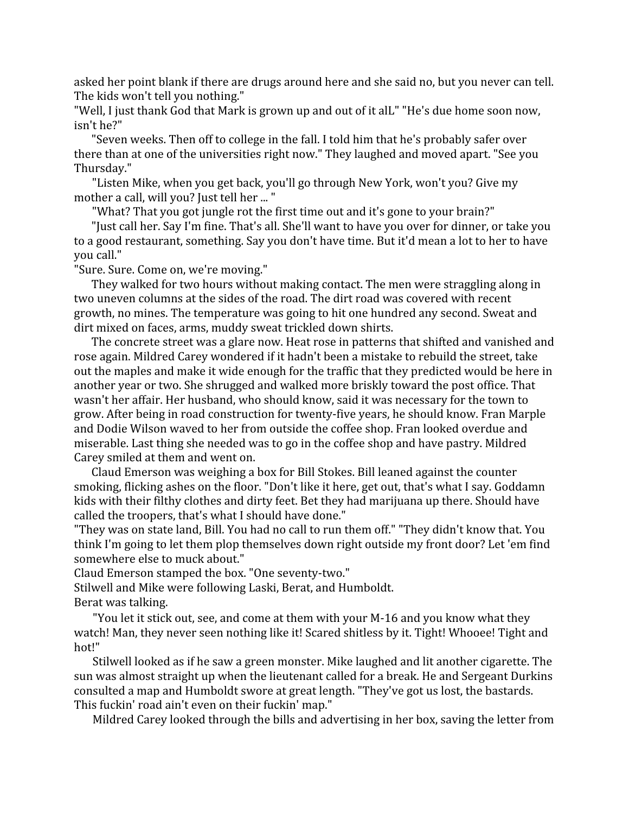asked
her
point
blank
if
there
are
drugs
around
here
and
she
said
no,
but
you
never
can
tell. The
kids
won't
tell
you
nothing."

"Well, I just thank God that Mark is grown up and out of it alL" "He's due home soon now, isn't
he?"

"Seven weeks. Then off to college in the fall. I told him that he's probably safer over there than at one of the universities right now." They laughed and moved apart. "See you Thursday."

"Listen Mike, when you get back, you'll go through New York, won't you? Give my mother
a
call,
will
you?
Just
tell
her
...
"

"What? That you got jungle rot the first time out and it's gone to your brain?"

"Just call her. Say I'm fine. That's all. She'll want to have you over for dinner, or take you to a good restaurant, something. Say you don't have time. But it'd mean a lot to her to have you
call."

"Sure.
Sure.
Come
on,
we're
moving."

They
walked
for
two
hours
without
making
contact.
The
men
were
straggling
along
in two
uneven
columns
at
the
sides
of
the
road.
The
dirt
road
was
covered
with
recent growth,
no
mines.
The
temperature
was
going
to
hit
one
hundred
any
second.
Sweat
and dirt
mixed
on
faces,
arms,
muddy
sweat
trickled
down
shirts.

The
concrete
street
was
a
glare
now.
Heat
rose
in
patterns
that
shifted
and
vanished
and rose again. Mildred Carey wondered if it hadn't been a mistake to rebuild the street, take out the maples and make it wide enough for the traffic that they predicted would be here in another
year
or
two.
She
shrugged
and
walked
more
briskly
toward
the
post
office.
That wasn't her affair. Her husband, who should know, said it was necessary for the town to grow.
After
being
in
road
construction
for
twenty‐five
years,
he
should
know.
Fran
Marple and
Dodie
Wilson
waved
to
her
from
outside
the
coffee
shop.
Fran
looked
overdue
and miserable.
Last
thing
she
needed
was
to
go
in
the
coffee
shop
and
have
pastry.
Mildred Carey
smiled
at
them
and
went
on.

Claud
Emerson
was
weighing
a
box
for
Bill
Stokes.
Bill
leaned
against
the
counter smoking, flicking ashes on the floor. "Don't like it here, get out, that's what I say. Goddamn kids with their filthy clothes and dirty feet. Bet they had marijuana up there. Should have called
the
troopers,
that's
what
I
should
have
done."

"They was on state land, Bill. You had no call to run them off." "They didn't know that. You think
I'm
going
to
let
them
plop
themselves
down
right
outside
my
front
door?
Let
'em
find somewhere else to muck about."

Claud
Emerson
stamped
the
box.
"One
seventy‐two."

Stilwell
and
Mike
were
following
Laski,
Berat,
and
Humboldt.

Berat
was
talking.

"You let it stick out, see, and come at them with your M-16 and you know what they watch! Man, they never seen nothing like it! Scared shitless by it. Tight! Whooee! Tight and hot!"

Stilwell looked as if he saw a green monster. Mike laughed and lit another cigarette. The sun
was
almost
straight
up
when
the
lieutenant
called
for
a
break.
He
and
Sergeant
Durkins consulted
a
map
and
Humboldt
swore
at
great
length.
"They've
got
us
lost,
the
bastards. This
fuckin'
road
ain't
even
on
their
fuckin'
map."

Mildred Carey looked through the bills and advertising in her box, saving the letter from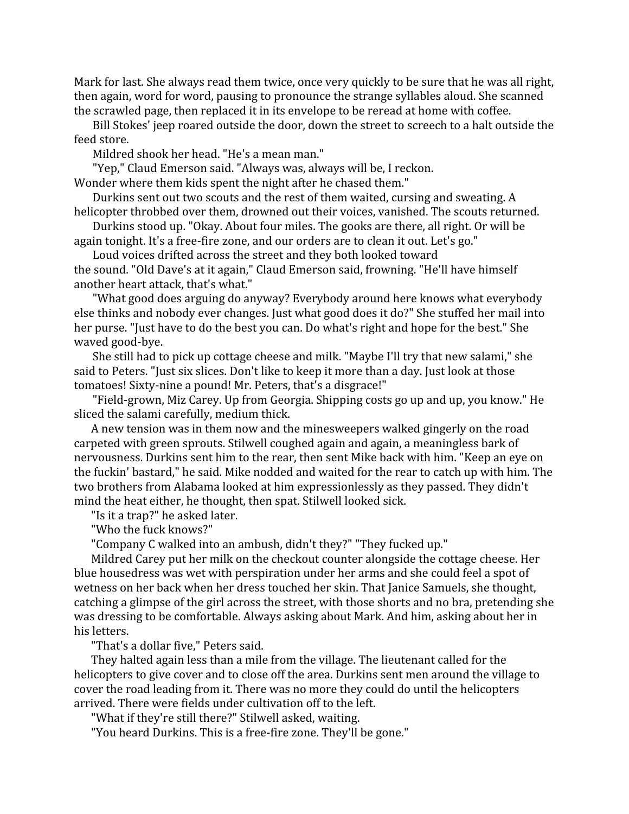Mark for last. She always read them twice, once very quickly to be sure that he was all right, then
again,
word
for
word,
pausing
to
pronounce
the
strange
syllables
aloud.
She
scanned the
scrawled
page,
then
replaced
it
in
its
envelope
to
be
reread
at
home
with
coffee.

Bill Stokes' jeep roared outside the door, down the street to screech to a halt outside the feed
store.

Mildred shook her head. "He's a mean man."

"Yep," Claud Emerson said. "Always was, always will be, I reckon.

Wonder where them kids spent the night after he chased them."

Durkins sent out two scouts and the rest of them waited, cursing and sweating. A helicopter throbbed over them, drowned out their voices, vanished. The scouts returned.

Durkins stood up. "Okay. About four miles. The gooks are there, all right. Or will be again tonight. It's a free-fire zone, and our orders are to clean it out. Let's go."

Loud voices drifted across the street and they both looked toward the
sound.
"Old
Dave's
at
it
again,"
Claud
Emerson
said,
frowning.
"He'll
have
himself another
heart
attack,
that's
what."

"What good does arguing do anyway? Everybody around here knows what everybody else
thinks
and
nobody
ever
changes.
Just
what
good
does
it
do?"
She
stuffed
her
mail
into her purse. "Just have to do the best you can. Do what's right and hope for the best." She waved
good‐bye.

She
still
had
to
pick
up
cottage
cheese
and
milk.
"Maybe
I'll
try
that
new
salami,"
she said to Peters. "Just six slices. Don't like to keep it more than a day. Just look at those tomatoes!
Sixty‐nine
a
pound!
Mr.
Peters,
that's
a
disgrace!"

"Field‐grown,
Miz
Carey.
Up
from
Georgia.
Shipping
costs
go
up
and
up,
you
know."
He sliced
the
salami
carefully,
medium
thick.

A
new
tension
was
in
them
now
and
the
minesweepers
walked
gingerly
on
the
road carpeted
with
green
sprouts.
Stilwell
coughed
again
and
again,
a
meaningless
bark
of nervousness.
Durkins
sent
him
to
the
rear,
then
sent
Mike
back
with
him.
"Keep
an
eye
on the
fuckin'
bastard,"
he
said.
Mike
nodded
and
waited
for
the
rear
to
catch
up
with
him.
The two
brothers
from
Alabama
looked
at
him
expressionlessly
as
they
passed.
They
didn't mind
the
heat
either,
he
thought,
then
spat.
Stilwell
looked
sick.

"Is
it
a
trap?"
he
asked
later.

"Who the fuck knows?"

"Company C walked into an ambush, didn't they?" "They fucked up."

Mildred Carey put her milk on the checkout counter alongside the cottage cheese. Her blue
housedress
was
wet
with
perspiration
under
her
arms
and
she
could
feel
a
spot
of wetness
on
her
back
when
her
dress
touched
her
skin.
That
Janice
Samuels,
she
thought, catching
a
glimpse
of
the
girl
across
the
street,
with
those
shorts
and
no
bra,
pretending
she was
dressing
to
be
comfortable.
Always
asking
about
Mark.
And
him,
asking
about
her
in his
letters.

"That's
a
dollar
five,"
Peters
said.

They
halted
again
less
than
a
mile
from
the
village.
The
lieutenant
called
for
the helicopters to give cover and to close off the area. Durkins sent men around the village to cover
the
road
leading
from
it.
There
was
no
more
they
could
do
until
the
helicopters arrived.
There
were
fields
under
cultivation
off
to
the
left.

"What if they're still there?" Stilwell asked, waiting.

"You heard Durkins. This is a free-fire zone. They'll be gone."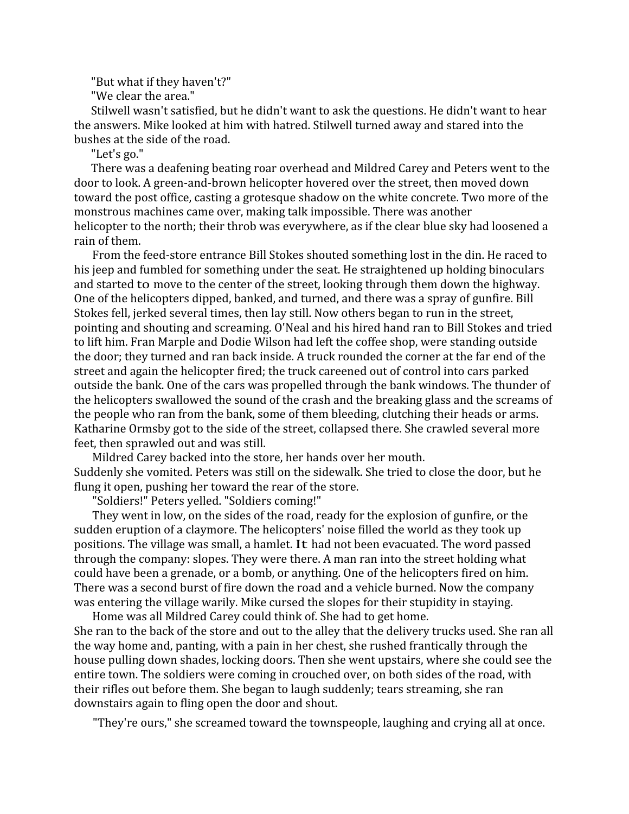"But what if they haven't?"

"We clear the area."

Stilwell
wasn't
satisfied,
but
he
didn't
want
to
ask
the
questions.
He
didn't
want
to
hear the answers. Mike looked at him with hatred. Stilwell turned away and stared into the bushes
at
the
side
of
the
road.

"Let's
go."

There was a deafening beating roar overhead and Mildred Carey and Peters went to the door
to
look.
A
green‐and‐brown
helicopter
hovered
over
the
street,
then
moved
down toward the post office, casting a grotesque shadow on the white concrete. Two more of the monstrous
machines
came
over,
making
talk
impossible.
There
was
another helicopter to the north; their throb was everywhere, as if the clear blue sky had loosened a rain
of
them.

From the feed-store entrance Bill Stokes shouted something lost in the din. He raced to his jeep and fumbled for something under the seat. He straightened up holding binoculars and
started
to
move
to
the
center
of
the
street,
looking
through
them
down
the
highway. One
of
the
helicopters
dipped,
banked,
and
turned,
and
there
was
a
spray
of
gunfire.
Bill Stokes
fell,
jerked
several
times,
then
lay
still.
Now
others
began
to
run
in
the
street, pointing
and
shouting
and
screaming.
O'Neal
and
his
hired
hand
ran
to
Bill
Stokes
and
tried to
lift
him.
Fran
Marple
and
Dodie
Wilson
had
left
the
coffee
shop,
were
standing
outside the door; they turned and ran back inside. A truck rounded the corner at the far end of the street
and
again
the
helicopter
fired;
the
truck
careened
out
of
control
into
cars
parked outside the bank. One of the cars was propelled through the bank windows. The thunder of the helicopters swallowed the sound of the crash and the breaking glass and the screams of the
people
who
ran
from
the
bank,
some
of
them
bleeding,
clutching
their
heads
or
arms. Katharine Ormsby got to the side of the street, collapsed there. She crawled several more feet,
then
sprawled
out
and
was
still.

Mildred Carey backed into the store, her hands over her mouth. Suddenly she vomited. Peters was still on the sidewalk. She tried to close the door, but he flung it open, pushing her toward the rear of the store.

"Soldiers!"
Peters
yelled.
"Soldiers
coming!"

They went in low, on the sides of the road, ready for the explosion of gunfire, or the sudden eruption of a claymore. The helicopters' noise filled the world as they took up positions.
The
village
was
small,
a
hamlet.
It
had
not
been
evacuated.
The
word
passed through
the
company:
slopes.
They
were
there.
A
man
ran
into
the
street
holding
what could
have
been
a
grenade,
or
a
bomb,
or
anything.
One
of
the
helicopters
fired
on
him. There
was
a
second
burst
of
fire
down
the
road
and
a
vehicle
burned.
Now
the
company was entering the village warily. Mike cursed the slopes for their stupidity in staying.

Home
was
all
Mildred
Carey
could
think
of.
She
had
to
get
home. She ran to the back of the store and out to the alley that the delivery trucks used. She ran all the
way
home
and,
panting,
with
a
pain
in
her
chest,
she
rushed
frantically
through
the house pulling down shades, locking doors. Then she went upstairs, where she could see the entire town. The soldiers were coming in crouched over, on both sides of the road, with their
rifles
out
before
them.
She
began
to
laugh
suddenly;
tears
streaming,
she
ran downstairs
again
to
fling
open
the
door
and
shout.

"They're ours," she screamed toward the townspeople, laughing and crying all at once.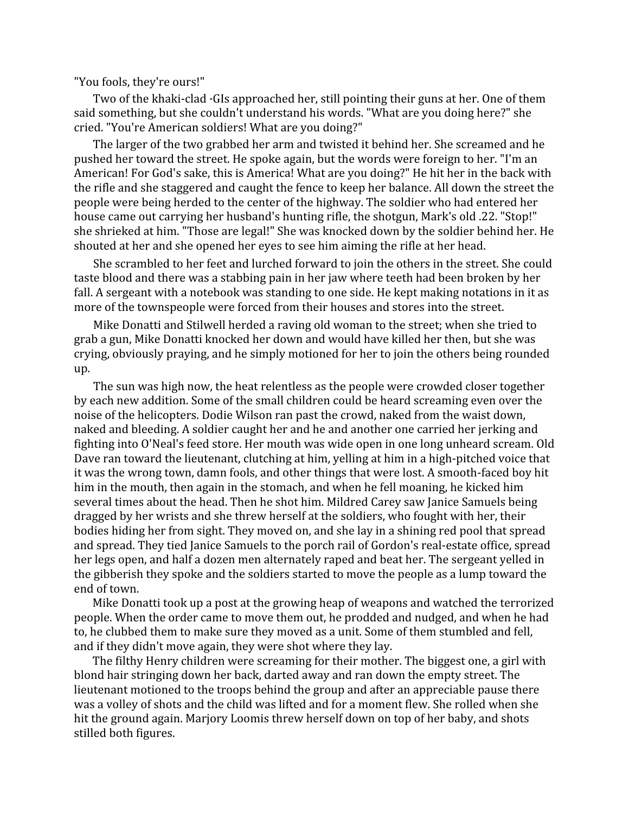"You fools, they're ours!"

Two of the khaki-clad · GIs approached her, still pointing their guns at her. One of them said something, but she couldn't understand his words. "What are you doing here?" she cried.
"You're
American
soldiers!
What
are
you
doing?"

The larger of the two grabbed her arm and twisted it behind her. She screamed and he pushed
her
toward
the
street.
He
spoke
again,
but
the
words
were
foreign
to
her.
"I'm
an American! For God's sake, this is America! What are you doing?" He hit her in the back with the
rifle
and
she
staggered
and
caught
the
fence
to
keep
her
balance.
All
down
the
street
the people
were
being
herded
to
the
center
of
the
highway.
The
soldier
who
had
entered
her house came out carrying her husband's hunting rifle, the shotgun, Mark's old .22. "Stop!" she shrieked at him. "Those are legal!" She was knocked down by the soldier behind her. He shouted at her and she opened her eyes to see him aiming the rifle at her head.

She
scrambled
to
her
feet
and
lurched
forward
to
join
the
others
in
the
street.
She
could taste
blood
and
there
was
a
stabbing
pain
in
her
jaw
where
teeth
had
been
broken
by
her fall. A sergeant with a notebook was standing to one side. He kept making notations in it as more
of
the
townspeople
were
forced
from
their
houses
and
stores
into
the
street.

Mike
Donatti
and
Stilwell
herded
a
raving
old
woman
to
the
street;
when
she
tried
to grab
a
gun,
Mike
Donatti
knocked
her
down
and
would
have
killed
her
then,
but
she
was crying,
obviously
praying,
and
he
simply
motioned
for
her
to
join
the
others
being
rounded up.

The sun was high now, the heat relentless as the people were crowded closer together by
each
new
addition.
Some
of
the
small
children
could
be
heard
screaming
even
over
the noise
of
the
helicopters.
Dodie
Wilson
ran
past
the
crowd,
naked
from
the
waist
down, naked
and
bleeding.
A
soldier
caught
her
and
he
and
another
one
carried
her
jerking
and fighting
into
O'Neal's
feed
store.
Her
mouth
was
wide
open
in
one
long
unheard
scream.
Old Dave ran toward the lieutenant, clutching at him, yelling at him in a high-pitched voice that it
was
the
wrong
town,
damn
fools,
and
other
things
that
were
lost.
A
smooth‐faced
boy
hit him in the mouth, then again in the stomach, and when he fell moaning, he kicked him several times about the head. Then he shot him. Mildred Carey saw Janice Samuels being dragged
by
her
wrists
and
she
threw
herself
at
the
soldiers,
who
fought
with
her,
their bodies
hiding
her
from
sight.
They
moved
on,
and
she
lay
in
a
shining
red
pool
that
spread and
spread.
They
tied
Janice
Samuels
to
the
porch
rail
of
Gordon's
real‐estate
office,
spread her legs open, and half a dozen men alternately raped and beat her. The sergeant yelled in the gibberish they spoke and the soldiers started to move the people as a lump toward the end
of
town.

Mike Donatti took up a post at the growing heap of weapons and watched the terrorized people.
When
the
order
came
to
move
them
out,
he
prodded
and
nudged,
and
when
he
had to, he clubbed them to make sure they moved as a unit. Some of them stumbled and fell, and
if
they
didn't
move
again,
they
were
shot
where
they
lay.

The
filthy
Henry
children
were
screaming
for
their
mother.
The
biggest
one,
a
girl
with blond
hair
stringing
down
her
back,
darted
away
and
ran
down
the
empty
street.
The lieutenant motioned to the troops behind the group and after an appreciable pause there was a volley of shots and the child was lifted and for a moment flew. She rolled when she hit the ground again. Marjory Loomis threw herself down on top of her baby, and shots stilled
both
figures.